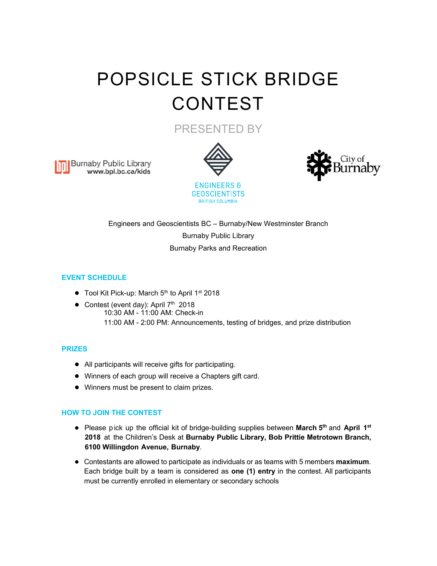# POPSICLE STICK BRIDGE CONTEST

PRESENTED BY

**Burnaby Public Library** www.bpl.bc.ca/kids





Engineers and Geoscientists BC – Burnaby/New Westminster Branch Burnaby Public Library Burnaby Parks and Recreation

**BRITISH COLUMBIA** 

# **EVENT SCHEDULE**

- Tool Kit Pick-up: March 5<sup>th</sup> to April 1<sup>st</sup> 2018
- Contest (event day): April  $7<sup>th</sup>$  2018
	- 10:30 AM 11:00 AM: Check-in 11:00 AM - 2:00 PM: Announcements, testing of bridges, and prize distribution

## **PRIZES**

- All participants will receive gifts for participating.
- Winners of each group will receive a Chapters gift card.
- Winners must be present to claim prizes.

## **HOW TO JOIN THE CONTEST**

- Please p ick up the official kit of bridge-building supplies between **March 5th** and **April 1st 2018** at the Children's Desk at **Burnaby Public Library, Bob Prittie Metrotown Branch, 6100 Willingdon Avenue, Burnaby**.
- Contestants are allowed to participate as individuals or as teams with 5 members **maximum**. Each bridge built by a team is considered as **one (1) entry** in the contest. All participants must be currently enrolled in elementary or secondary schools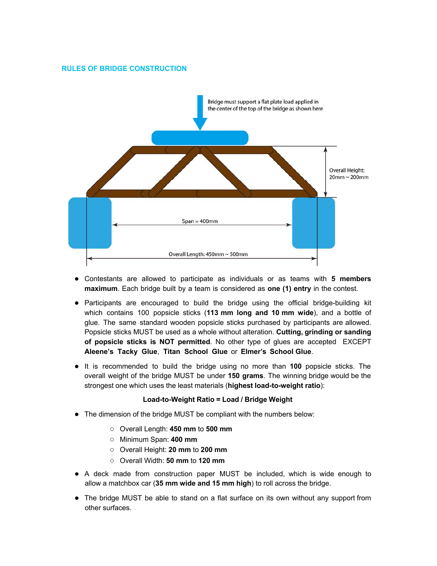## **RULES OF BRIDGE CONSTRUCTION**



- Contestants are allowed to participate as individuals or as teams with **5 members maximum**. Each bridge built by a team is considered as **one (1) entry** in the contest.
- Participants are encouraged to build the bridge using the official bridge-building kit which contains 100 popsicle sticks (**113 mm long and 10 mm wide**), and a bottle of glue. The same standard wooden popsicle sticks purchased by participants are allowed. Popsicle sticks MUST be used as a whole without alteration. **Cutting, grinding or sanding of popsicle sticks is NOT permitted**. No other type of glues are accepted EXCEPT **Aleene's Tacky Glue**, **Titan School Glue** or **Elmer's School Glue**.
- It is recommended to build the bridge using no more than **100** popsicle sticks. The overall weight of the bridge MUST be under **150 grams**. The winning bridge would be the strongest one which uses the least materials (**highest load-to-weight ratio**):

#### **Load-to-Weight Ratio = Load / Bridge Weight**

- The dimension of the bridge MUST be compliant with the numbers below:
	- Overall Length: **450 mm** to **500 mm**
	- Minimum Span: **400 mm**
	- Overall Height: **20 mm** to **200 mm**
	- Overall Width: **50 mm** to **120 mm**
- A deck made from construction paper MUST be included, which is wide enough to allow a matchbox car (**35 mm wide and 15 mm high**) to roll across the bridge.
- The bridge MUST be able to stand on a flat surface on its own without any support from other surfaces.